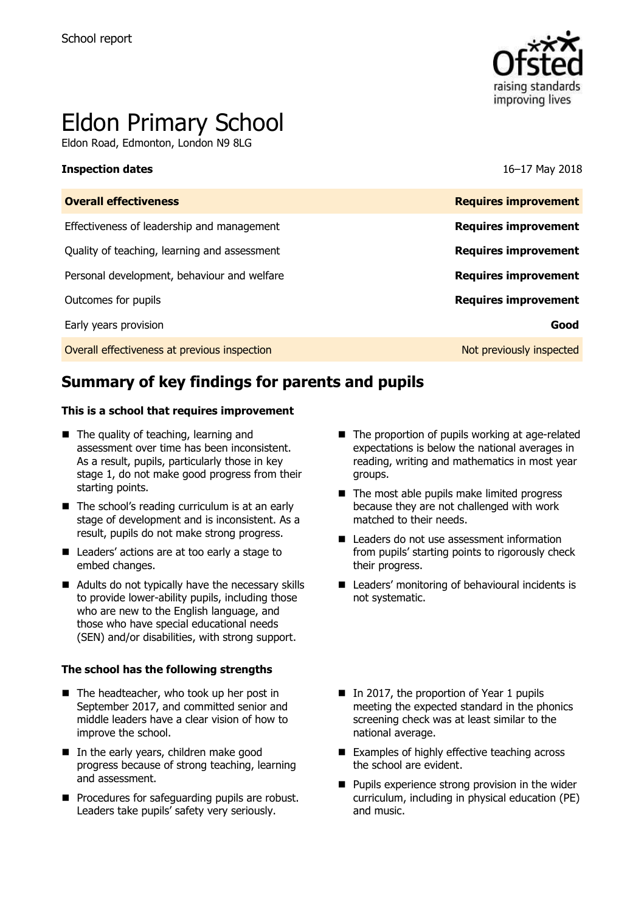

# Eldon Primary School

Eldon Road, Edmonton, London N9 8LG

### **Inspection dates** 16–17 May 2018

| <b>Overall effectiveness</b>                 | <b>Requires improvement</b> |
|----------------------------------------------|-----------------------------|
| Effectiveness of leadership and management   | <b>Requires improvement</b> |
| Quality of teaching, learning and assessment | <b>Requires improvement</b> |
| Personal development, behaviour and welfare  | <b>Requires improvement</b> |
| Outcomes for pupils                          | <b>Requires improvement</b> |
| Early years provision                        | Good                        |
| Overall effectiveness at previous inspection | Not previously inspected    |
|                                              |                             |

# **Summary of key findings for parents and pupils**

### **This is a school that requires improvement**

- The quality of teaching, learning and assessment over time has been inconsistent. As a result, pupils, particularly those in key stage 1, do not make good progress from their starting points.
- $\blacksquare$  The school's reading curriculum is at an early stage of development and is inconsistent. As a result, pupils do not make strong progress.
- Leaders' actions are at too early a stage to embed changes.
- Adults do not typically have the necessary skills to provide lower-ability pupils, including those who are new to the English language, and those who have special educational needs (SEN) and/or disabilities, with strong support.

### **The school has the following strengths**

- The headteacher, who took up her post in September 2017, and committed senior and middle leaders have a clear vision of how to improve the school.
- In the early years, children make good progress because of strong teaching, learning and assessment.
- **Procedures for safeguarding pupils are robust.** Leaders take pupils' safety very seriously.
- The proportion of pupils working at age-related expectations is below the national averages in reading, writing and mathematics in most year groups.
- $\blacksquare$  The most able pupils make limited progress because they are not challenged with work matched to their needs.
- Leaders do not use assessment information from pupils' starting points to rigorously check their progress.
- Leaders' monitoring of behavioural incidents is not systematic.
- In 2017, the proportion of Year 1 pupils meeting the expected standard in the phonics screening check was at least similar to the national average.
- Examples of highly effective teaching across the school are evident.
- $\blacksquare$  Pupils experience strong provision in the wider curriculum, including in physical education (PE) and music.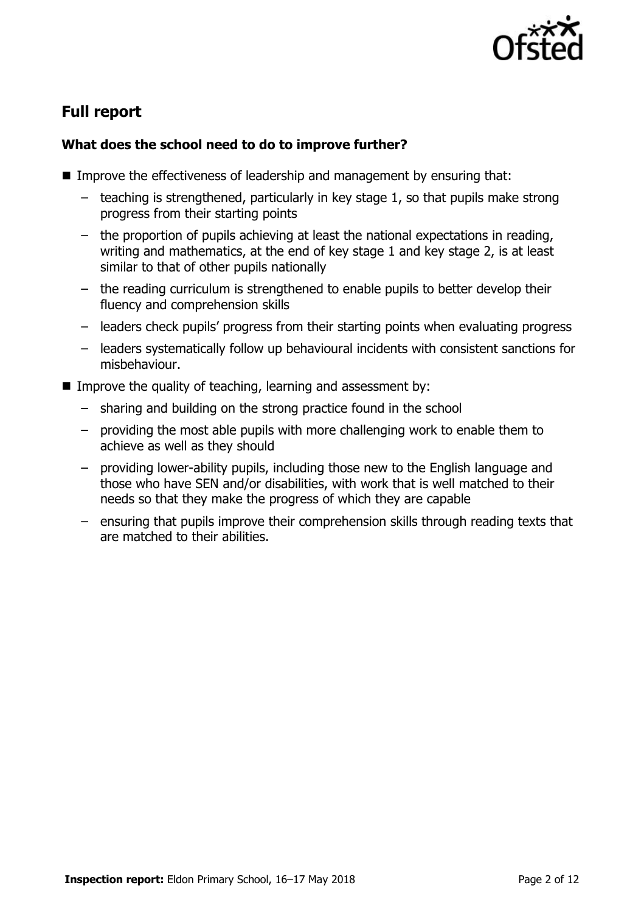

# **Full report**

### **What does the school need to do to improve further?**

- Improve the effectiveness of leadership and management by ensuring that:
	- teaching is strengthened, particularly in key stage 1, so that pupils make strong progress from their starting points
	- the proportion of pupils achieving at least the national expectations in reading, writing and mathematics, at the end of key stage 1 and key stage 2, is at least similar to that of other pupils nationally
	- the reading curriculum is strengthened to enable pupils to better develop their fluency and comprehension skills
	- leaders check pupils' progress from their starting points when evaluating progress
	- leaders systematically follow up behavioural incidents with consistent sanctions for misbehaviour.
- Improve the quality of teaching, learning and assessment by:
	- sharing and building on the strong practice found in the school
	- providing the most able pupils with more challenging work to enable them to achieve as well as they should
	- providing lower-ability pupils, including those new to the English language and those who have SEN and/or disabilities, with work that is well matched to their needs so that they make the progress of which they are capable
	- ensuring that pupils improve their comprehension skills through reading texts that are matched to their abilities.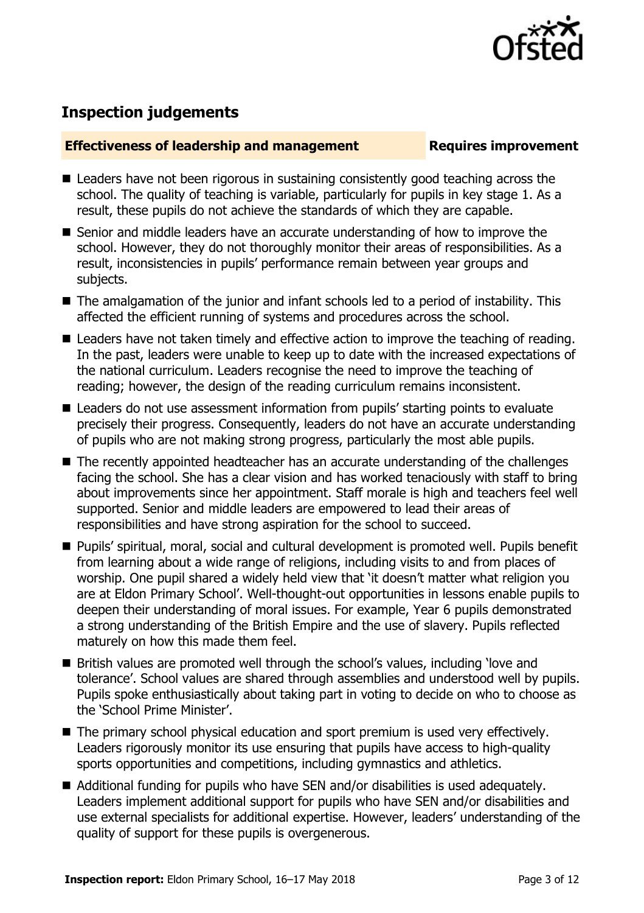

# **Inspection judgements**

### **Effectiveness of leadership and management Requires improvement**

- Leaders have not been rigorous in sustaining consistently good teaching across the school. The quality of teaching is variable, particularly for pupils in key stage 1. As a result, these pupils do not achieve the standards of which they are capable.
- Senior and middle leaders have an accurate understanding of how to improve the school. However, they do not thoroughly monitor their areas of responsibilities. As a result, inconsistencies in pupils' performance remain between year groups and subjects.
- The amalgamation of the junior and infant schools led to a period of instability. This affected the efficient running of systems and procedures across the school.
- Leaders have not taken timely and effective action to improve the teaching of reading. In the past, leaders were unable to keep up to date with the increased expectations of the national curriculum. Leaders recognise the need to improve the teaching of reading; however, the design of the reading curriculum remains inconsistent.
- Leaders do not use assessment information from pupils' starting points to evaluate precisely their progress. Consequently, leaders do not have an accurate understanding of pupils who are not making strong progress, particularly the most able pupils.
- The recently appointed headteacher has an accurate understanding of the challenges facing the school. She has a clear vision and has worked tenaciously with staff to bring about improvements since her appointment. Staff morale is high and teachers feel well supported. Senior and middle leaders are empowered to lead their areas of responsibilities and have strong aspiration for the school to succeed.
- Pupils' spiritual, moral, social and cultural development is promoted well. Pupils benefit from learning about a wide range of religions, including visits to and from places of worship. One pupil shared a widely held view that 'it doesn't matter what religion you are at Eldon Primary School'. Well-thought-out opportunities in lessons enable pupils to deepen their understanding of moral issues. For example, Year 6 pupils demonstrated a strong understanding of the British Empire and the use of slavery. Pupils reflected maturely on how this made them feel.
- British values are promoted well through the school's values, including 'love and tolerance'. School values are shared through assemblies and understood well by pupils. Pupils spoke enthusiastically about taking part in voting to decide on who to choose as the 'School Prime Minister'.
- The primary school physical education and sport premium is used very effectively. Leaders rigorously monitor its use ensuring that pupils have access to high-quality sports opportunities and competitions, including gymnastics and athletics.
- Additional funding for pupils who have SEN and/or disabilities is used adequately. Leaders implement additional support for pupils who have SEN and/or disabilities and use external specialists for additional expertise. However, leaders' understanding of the quality of support for these pupils is overgenerous.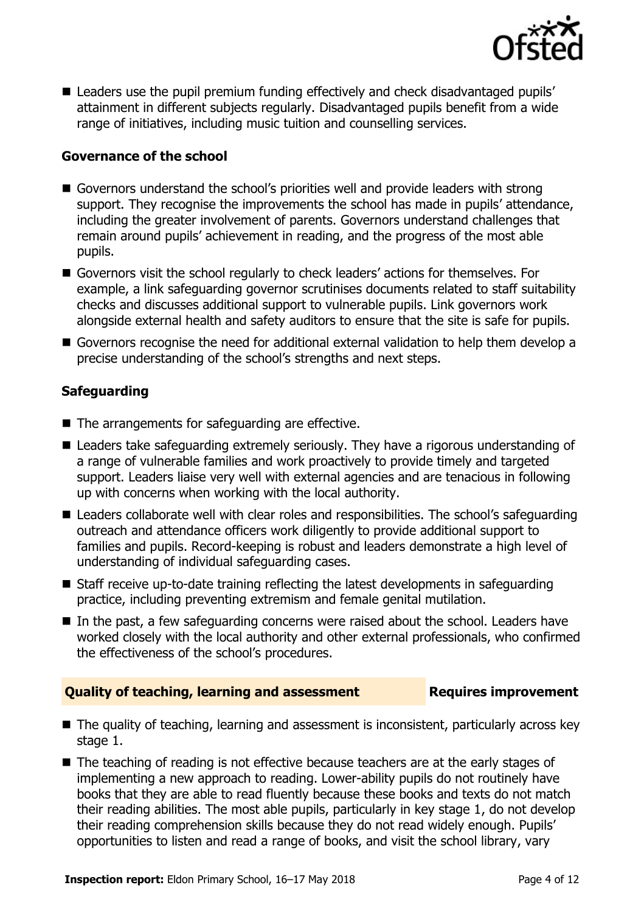

■ Leaders use the pupil premium funding effectively and check disadvantaged pupils' attainment in different subjects regularly. Disadvantaged pupils benefit from a wide range of initiatives, including music tuition and counselling services.

### **Governance of the school**

- Governors understand the school's priorities well and provide leaders with strong support. They recognise the improvements the school has made in pupils' attendance, including the greater involvement of parents. Governors understand challenges that remain around pupils' achievement in reading, and the progress of the most able pupils.
- Governors visit the school regularly to check leaders' actions for themselves. For example, a link safeguarding governor scrutinises documents related to staff suitability checks and discusses additional support to vulnerable pupils. Link governors work alongside external health and safety auditors to ensure that the site is safe for pupils.
- Governors recognise the need for additional external validation to help them develop a precise understanding of the school's strengths and next steps.

### **Safeguarding**

- The arrangements for safeguarding are effective.
- Leaders take safeguarding extremely seriously. They have a rigorous understanding of a range of vulnerable families and work proactively to provide timely and targeted support. Leaders liaise very well with external agencies and are tenacious in following up with concerns when working with the local authority.
- Leaders collaborate well with clear roles and responsibilities. The school's safeguarding outreach and attendance officers work diligently to provide additional support to families and pupils. Record-keeping is robust and leaders demonstrate a high level of understanding of individual safeguarding cases.
- Staff receive up-to-date training reflecting the latest developments in safeguarding practice, including preventing extremism and female genital mutilation.
- $\blacksquare$  In the past, a few safeguarding concerns were raised about the school. Leaders have worked closely with the local authority and other external professionals, who confirmed the effectiveness of the school's procedures.

### **Quality of teaching, learning and assessment France Requires improvement**

- The quality of teaching, learning and assessment is inconsistent, particularly across key stage 1.
- The teaching of reading is not effective because teachers are at the early stages of implementing a new approach to reading. Lower-ability pupils do not routinely have books that they are able to read fluently because these books and texts do not match their reading abilities. The most able pupils, particularly in key stage 1, do not develop their reading comprehension skills because they do not read widely enough. Pupils' opportunities to listen and read a range of books, and visit the school library, vary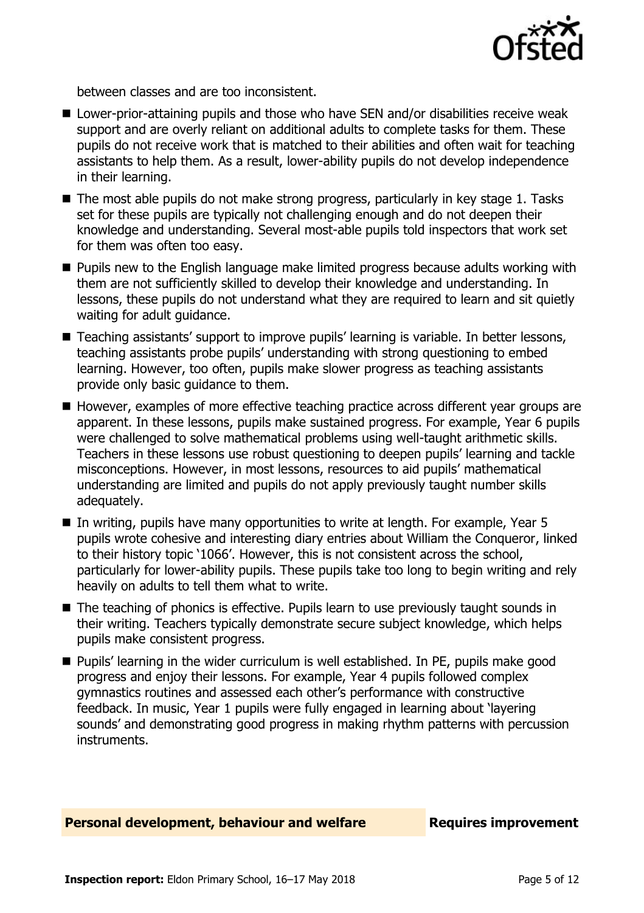

between classes and are too inconsistent.

- Lower-prior-attaining pupils and those who have SEN and/or disabilities receive weak support and are overly reliant on additional adults to complete tasks for them. These pupils do not receive work that is matched to their abilities and often wait for teaching assistants to help them. As a result, lower-ability pupils do not develop independence in their learning.
- $\blacksquare$  The most able pupils do not make strong progress, particularly in key stage 1. Tasks set for these pupils are typically not challenging enough and do not deepen their knowledge and understanding. Several most-able pupils told inspectors that work set for them was often too easy.
- **Pupils new to the English language make limited progress because adults working with** them are not sufficiently skilled to develop their knowledge and understanding. In lessons, these pupils do not understand what they are required to learn and sit quietly waiting for adult guidance.
- Teaching assistants' support to improve pupils' learning is variable. In better lessons, teaching assistants probe pupils' understanding with strong questioning to embed learning. However, too often, pupils make slower progress as teaching assistants provide only basic guidance to them.
- However, examples of more effective teaching practice across different year groups are apparent. In these lessons, pupils make sustained progress. For example, Year 6 pupils were challenged to solve mathematical problems using well-taught arithmetic skills. Teachers in these lessons use robust questioning to deepen pupils' learning and tackle misconceptions. However, in most lessons, resources to aid pupils' mathematical understanding are limited and pupils do not apply previously taught number skills adequately.
- In writing, pupils have many opportunities to write at length. For example, Year 5 pupils wrote cohesive and interesting diary entries about William the Conqueror, linked to their history topic '1066'. However, this is not consistent across the school, particularly for lower-ability pupils. These pupils take too long to begin writing and rely heavily on adults to tell them what to write.
- The teaching of phonics is effective. Pupils learn to use previously taught sounds in their writing. Teachers typically demonstrate secure subject knowledge, which helps pupils make consistent progress.
- **Pupils'** learning in the wider curriculum is well established. In PE, pupils make good progress and enjoy their lessons. For example, Year 4 pupils followed complex gymnastics routines and assessed each other's performance with constructive feedback. In music, Year 1 pupils were fully engaged in learning about 'layering sounds' and demonstrating good progress in making rhythm patterns with percussion instruments.

### **Personal development, behaviour and welfare <b>Requires improvement**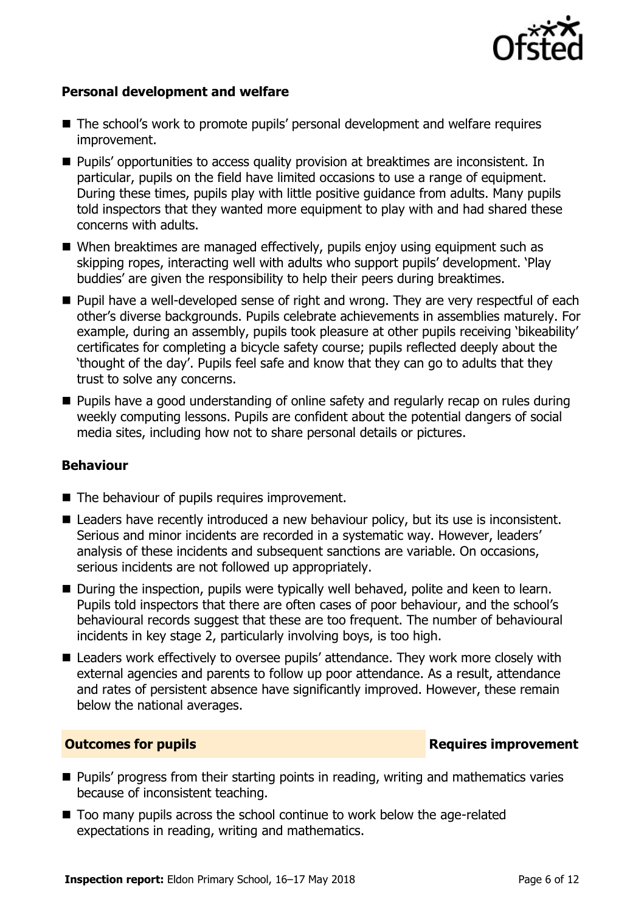

### **Personal development and welfare**

- The school's work to promote pupils' personal development and welfare requires improvement.
- **Pupils'** opportunities to access quality provision at breaktimes are inconsistent. In particular, pupils on the field have limited occasions to use a range of equipment. During these times, pupils play with little positive guidance from adults. Many pupils told inspectors that they wanted more equipment to play with and had shared these concerns with adults.
- When breaktimes are managed effectively, pupils enjoy using equipment such as skipping ropes, interacting well with adults who support pupils' development. 'Play buddies' are given the responsibility to help their peers during breaktimes.
- **Pupil have a well-developed sense of right and wrong. They are very respectful of each** other's diverse backgrounds. Pupils celebrate achievements in assemblies maturely. For example, during an assembly, pupils took pleasure at other pupils receiving 'bikeability' certificates for completing a bicycle safety course; pupils reflected deeply about the 'thought of the day'. Pupils feel safe and know that they can go to adults that they trust to solve any concerns.
- Pupils have a good understanding of online safety and regularly recap on rules during weekly computing lessons. Pupils are confident about the potential dangers of social media sites, including how not to share personal details or pictures.

### **Behaviour**

- The behaviour of pupils requires improvement.
- Leaders have recently introduced a new behaviour policy, but its use is inconsistent. Serious and minor incidents are recorded in a systematic way. However, leaders' analysis of these incidents and subsequent sanctions are variable. On occasions, serious incidents are not followed up appropriately.
- During the inspection, pupils were typically well behaved, polite and keen to learn. Pupils told inspectors that there are often cases of poor behaviour, and the school's behavioural records suggest that these are too frequent. The number of behavioural incidents in key stage 2, particularly involving boys, is too high.
- Leaders work effectively to oversee pupils' attendance. They work more closely with external agencies and parents to follow up poor attendance. As a result, attendance and rates of persistent absence have significantly improved. However, these remain below the national averages.

### **Outcomes for pupils Requires improvement**

- **Pupils' progress from their starting points in reading, writing and mathematics varies** because of inconsistent teaching.
- Too many pupils across the school continue to work below the age-related expectations in reading, writing and mathematics.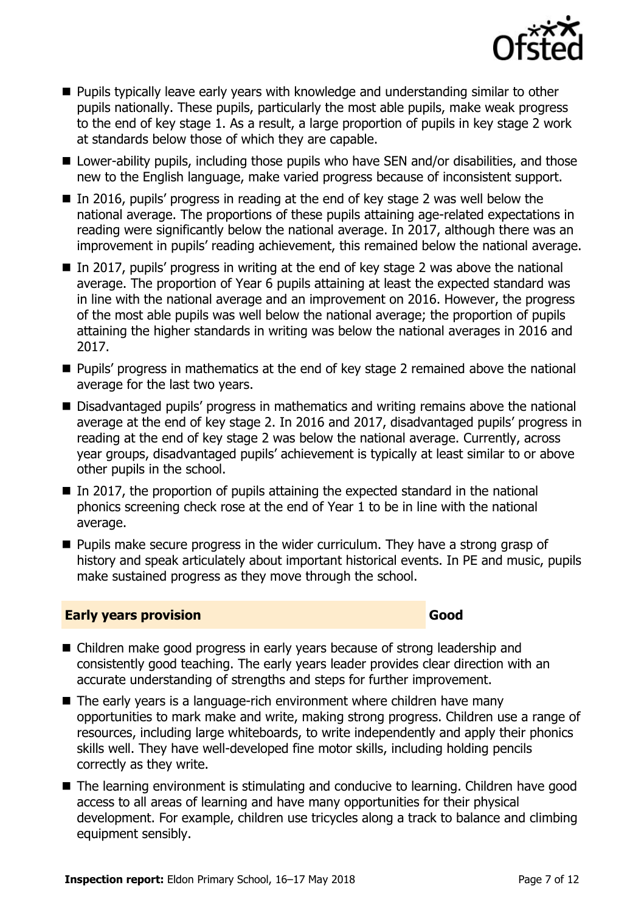

- **Pupils typically leave early years with knowledge and understanding similar to other** pupils nationally. These pupils, particularly the most able pupils, make weak progress to the end of key stage 1. As a result, a large proportion of pupils in key stage 2 work at standards below those of which they are capable.
- Lower-ability pupils, including those pupils who have SEN and/or disabilities, and those new to the English language, make varied progress because of inconsistent support.
- In 2016, pupils' progress in reading at the end of key stage 2 was well below the national average. The proportions of these pupils attaining age-related expectations in reading were significantly below the national average. In 2017, although there was an improvement in pupils' reading achievement, this remained below the national average.
- $\blacksquare$  In 2017, pupils' progress in writing at the end of key stage 2 was above the national average. The proportion of Year 6 pupils attaining at least the expected standard was in line with the national average and an improvement on 2016. However, the progress of the most able pupils was well below the national average; the proportion of pupils attaining the higher standards in writing was below the national averages in 2016 and 2017.
- **Pupils' progress in mathematics at the end of key stage 2 remained above the national** average for the last two years.
- Disadvantaged pupils' progress in mathematics and writing remains above the national average at the end of key stage 2. In 2016 and 2017, disadvantaged pupils' progress in reading at the end of key stage 2 was below the national average. Currently, across year groups, disadvantaged pupils' achievement is typically at least similar to or above other pupils in the school.
- $\blacksquare$  In 2017, the proportion of pupils attaining the expected standard in the national phonics screening check rose at the end of Year 1 to be in line with the national average.
- $\blacksquare$  Pupils make secure progress in the wider curriculum. They have a strong grasp of history and speak articulately about important historical events. In PE and music, pupils make sustained progress as they move through the school.

### **Early years provision Good**

- Children make good progress in early years because of strong leadership and consistently good teaching. The early years leader provides clear direction with an accurate understanding of strengths and steps for further improvement.
- The early years is a language-rich environment where children have many opportunities to mark make and write, making strong progress. Children use a range of resources, including large whiteboards, to write independently and apply their phonics skills well. They have well-developed fine motor skills, including holding pencils correctly as they write.
- The learning environment is stimulating and conducive to learning. Children have good access to all areas of learning and have many opportunities for their physical development. For example, children use tricycles along a track to balance and climbing equipment sensibly.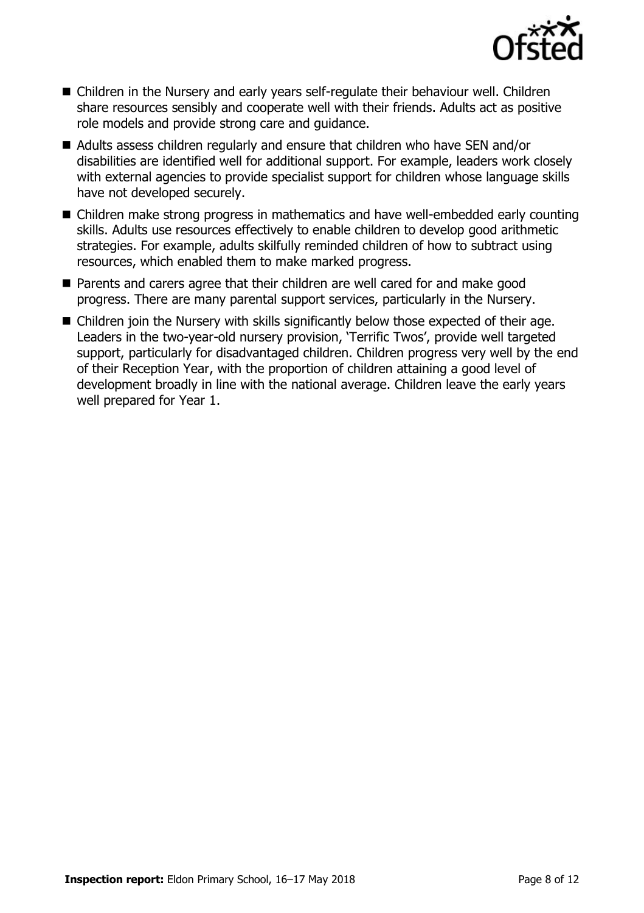

- Children in the Nursery and early years self-regulate their behaviour well. Children share resources sensibly and cooperate well with their friends. Adults act as positive role models and provide strong care and guidance.
- Adults assess children regularly and ensure that children who have SEN and/or disabilities are identified well for additional support. For example, leaders work closely with external agencies to provide specialist support for children whose language skills have not developed securely.
- Children make strong progress in mathematics and have well-embedded early counting skills. Adults use resources effectively to enable children to develop good arithmetic strategies. For example, adults skilfully reminded children of how to subtract using resources, which enabled them to make marked progress.
- **Parents and carers agree that their children are well cared for and make good** progress. There are many parental support services, particularly in the Nursery.
- Children join the Nursery with skills significantly below those expected of their age. Leaders in the two-year-old nursery provision, 'Terrific Twos', provide well targeted support, particularly for disadvantaged children. Children progress very well by the end of their Reception Year, with the proportion of children attaining a good level of development broadly in line with the national average. Children leave the early years well prepared for Year 1.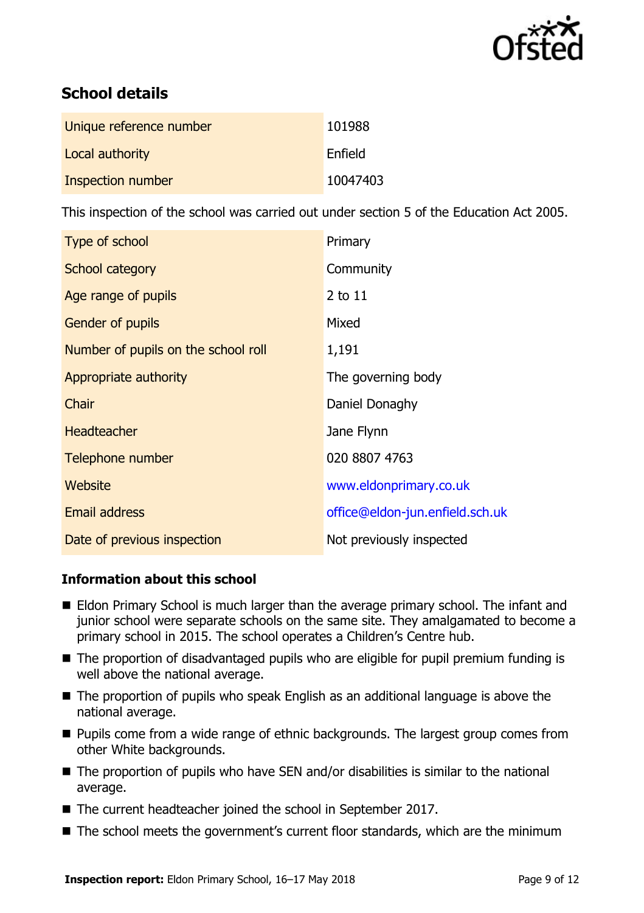

# **School details**

| Unique reference number | 101988   |
|-------------------------|----------|
| Local authority         | Enfield  |
| Inspection number       | 10047403 |

This inspection of the school was carried out under section 5 of the Education Act 2005.

| Type of school                      | Primary                         |
|-------------------------------------|---------------------------------|
| School category                     | Community                       |
| Age range of pupils                 | 2 to 11                         |
| <b>Gender of pupils</b>             | Mixed                           |
| Number of pupils on the school roll | 1,191                           |
| Appropriate authority               | The governing body              |
| Chair                               | Daniel Donaghy                  |
| <b>Headteacher</b>                  | Jane Flynn                      |
| Telephone number                    | 020 8807 4763                   |
| Website                             | www.eldonprimary.co.uk          |
| <b>Email address</b>                | office@eldon-jun.enfield.sch.uk |
| Date of previous inspection         | Not previously inspected        |

### **Information about this school**

- Eldon Primary School is much larger than the average primary school. The infant and junior school were separate schools on the same site. They amalgamated to become a primary school in 2015. The school operates a Children's Centre hub.
- The proportion of disadvantaged pupils who are eligible for pupil premium funding is well above the national average.
- The proportion of pupils who speak English as an additional language is above the national average.
- **Pupils come from a wide range of ethnic backgrounds. The largest group comes from** other White backgrounds.
- The proportion of pupils who have SEN and/or disabilities is similar to the national average.
- The current headteacher joined the school in September 2017.
- The school meets the government's current floor standards, which are the minimum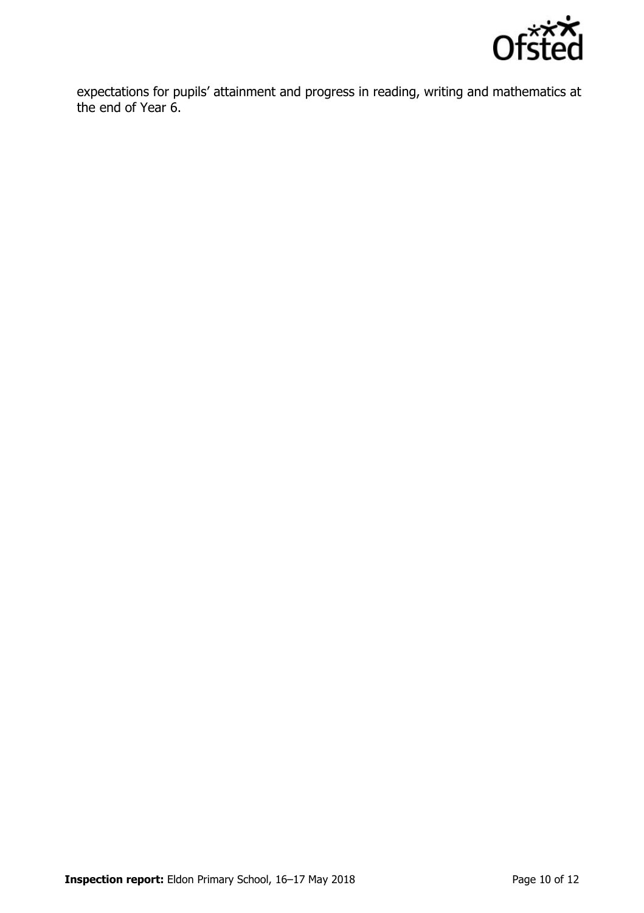

expectations for pupils' attainment and progress in reading, writing and mathematics at the end of Year 6.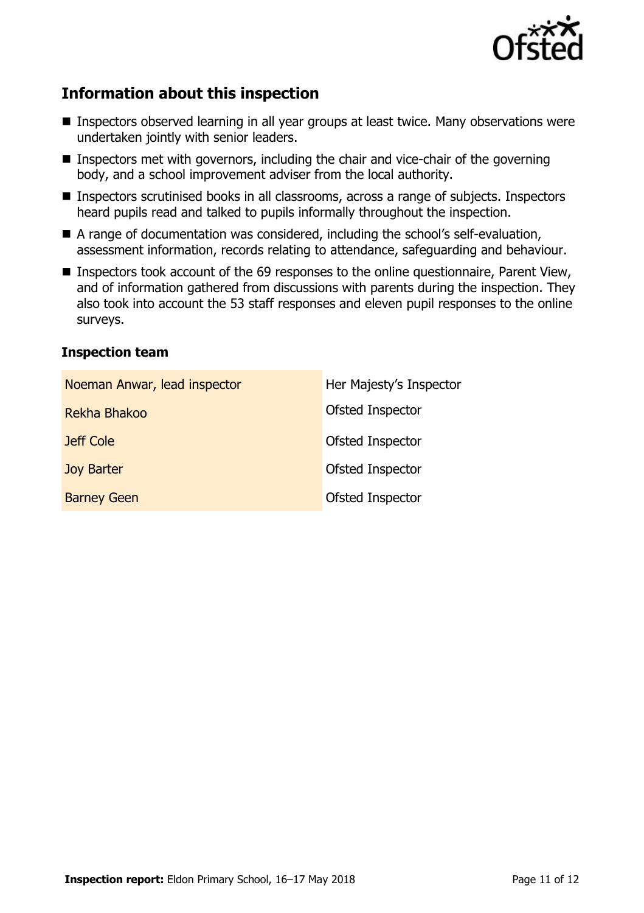

# **Information about this inspection**

- Inspectors observed learning in all year groups at least twice. Many observations were undertaken jointly with senior leaders.
- Inspectors met with governors, including the chair and vice-chair of the governing body, and a school improvement adviser from the local authority.
- Inspectors scrutinised books in all classrooms, across a range of subjects. Inspectors heard pupils read and talked to pupils informally throughout the inspection.
- A range of documentation was considered, including the school's self-evaluation, assessment information, records relating to attendance, safeguarding and behaviour.
- Inspectors took account of the 69 responses to the online questionnaire, Parent View, and of information gathered from discussions with parents during the inspection. They also took into account the 53 staff responses and eleven pupil responses to the online surveys.

### **Inspection team**

| Noeman Anwar, lead inspector | Her Majesty's Inspector |
|------------------------------|-------------------------|
| Rekha Bhakoo                 | Ofsted Inspector        |
| Jeff Cole                    | Ofsted Inspector        |
| <b>Joy Barter</b>            | Ofsted Inspector        |
| <b>Barney Geen</b>           | Ofsted Inspector        |